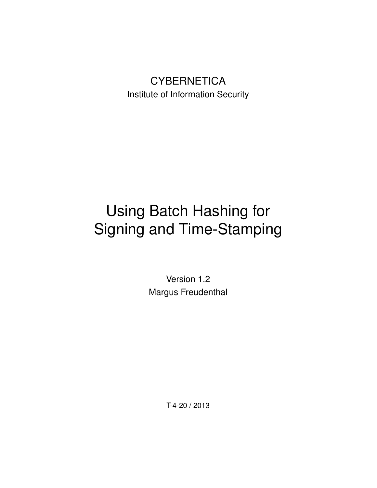## **CYBERNETICA** Institute of Information Security

# Using Batch Hashing for Signing and Time-Stamping

Version 1.2 Margus Freudenthal

T-4-20 / 2013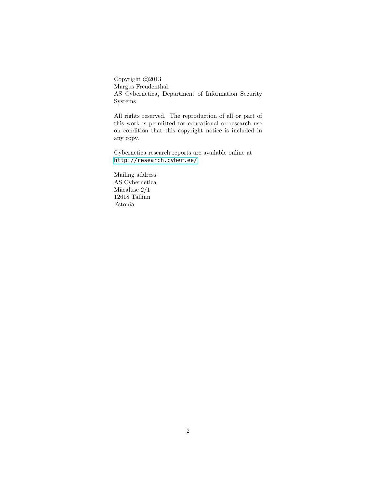Copyright  $\odot$ 2013 Margus Freudenthal. AS Cybernetica, Department of Information Security Systems

All rights reserved. The reproduction of all or part of this work is permitted for educational or research use on condition that this copyright notice is included in any copy.

Cybernetica research reports are available online at <http://research.cyber.ee/>

Mailing address: AS Cybernetica Mäe<br/>aluse  $2/1\,$ 12618 Tallinn Estonia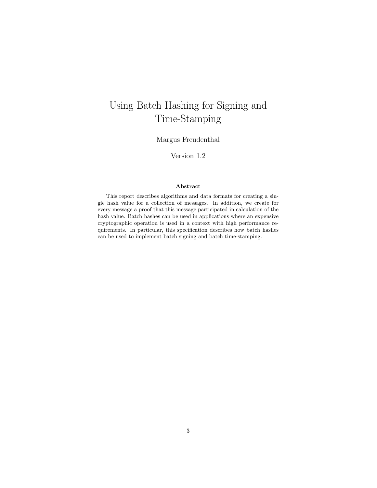## Using Batch Hashing for Signing and Time-Stamping

Margus Freudenthal

Version 1.2

#### Abstract

This report describes algorithms and data formats for creating a single hash value for a collection of messages. In addition, we create for every message a proof that this message participated in calculation of the hash value. Batch hashes can be used in applications where an expensive cryptographic operation is used in a context with high performance requirements. In particular, this specification describes how batch hashes can be used to implement batch signing and batch time-stamping.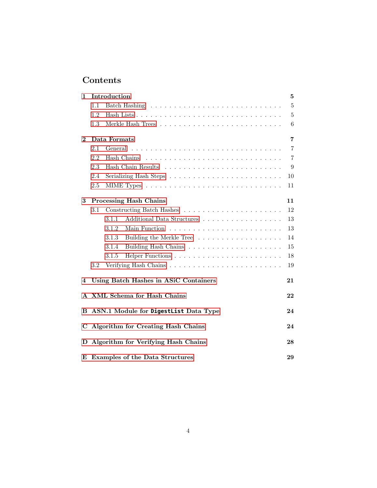## Contents

| 1        |     | Introduction                              | 5  |
|----------|-----|-------------------------------------------|----|
|          | 1.1 |                                           | 5  |
|          | 1.2 |                                           | 5  |
|          | 1.3 |                                           | 6  |
| $\bf{2}$ |     | Data Formats                              | 7  |
|          | 2.1 | General                                   | 7  |
|          | 2.2 |                                           | 7  |
|          | 2.3 |                                           | 9  |
|          | 2.4 |                                           | 10 |
|          | 2.5 |                                           | 11 |
|          |     |                                           |    |
| 3        |     | Processing Hash Chains                    | 11 |
|          | 3.1 |                                           | 12 |
|          |     | Additional Data Structures<br>3.1.1       | 13 |
|          |     | 3.1.2                                     | 13 |
|          |     | 3.1.3<br>Building the Merkle Tree         | 14 |
|          |     | 3.1.4                                     | 15 |
|          |     | 3.1.5                                     | 18 |
|          | 3.2 |                                           | 19 |
| 4        |     | Using Batch Hashes in ASiC Containers     | 21 |
|          |     | A XML Schema for Hash Chains              | 22 |
| в        |     | ASN.1 Module for DigestList Data Type     | 24 |
| C        |     | <b>Algorithm for Creating Hash Chains</b> | 24 |
| D        |     | Algorithm for Verifying Hash Chains       | 28 |
| E        |     | <b>Examples of the Data Structures</b>    | 29 |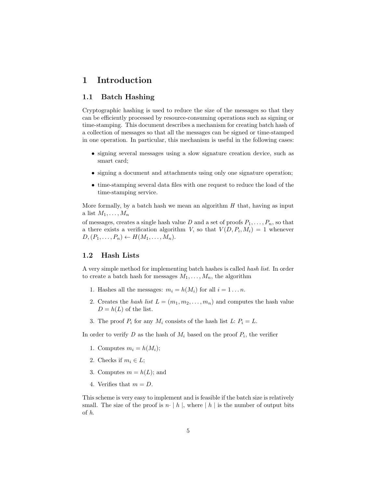### <span id="page-4-0"></span>1 Introduction

#### <span id="page-4-1"></span>1.1 Batch Hashing

Cryptographic hashing is used to reduce the size of the messages so that they can be efficiently processed by resource-consuming operations such as signing or time-stamping. This document describes a mechanism for creating batch hash of a collection of messages so that all the messages can be signed or time-stamped in one operation. In particular, this mechanism is useful in the following cases:

- signing several messages using a slow signature creation device, such as smart card;
- signing a document and attachments using only one signature operation;
- time-stamping several data files with one request to reduce the load of the time-stamping service.

More formally, by a batch hash we mean an algorithm  $H$  that, having as input a list  $M_1, \ldots, M_n$ 

of messages, creates a single hash value D and a set of proofs  $P_1, \ldots, P_n$ , so that a there exists a verification algorithm V, so that  $V(D, P_i, M_i) = 1$  whenever  $D,(P_1,\ldots,P_n) \leftarrow H(M_1,\ldots,M_n).$ 

#### <span id="page-4-2"></span>1.2 Hash Lists

A very simple method for implementing batch hashes is called hash list. In order to create a batch hash for messages  $M_1, \ldots, M_n$ , the algorithm

- 1. Hashes all the messages:  $m_i = h(M_i)$  for all  $i = 1 \ldots n$ .
- 2. Creates the hash list  $L = (m_1, m_2, \ldots, m_n)$  and computes the hash value  $D = h(L)$  of the list.
- 3. The proof  $P_i$  for any  $M_i$  consists of the hash list  $L: P_i = L$ .

In order to verify D as the hash of  $M_i$  based on the proof  $P_i$ , the verifier

- 1. Computes  $m_i = h(M_i);$
- 2. Checks if  $m_i \in L$ ;
- 3. Computes  $m = h(L)$ ; and
- 4. Verifies that  $m = D$ .

This scheme is very easy to implement and is feasible if the batch size is relatively small. The size of the proof is  $n \cdot | h |$ , where  $|h |$  is the number of output bits of h.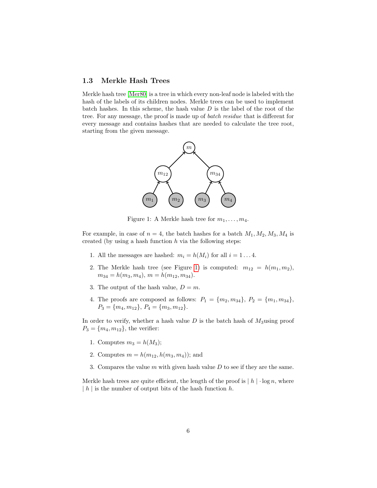#### <span id="page-5-0"></span>1.3 Merkle Hash Trees

Merkle hash tree [\[Mer80\]](#page-21-1) is a tree in which every non-leaf node is labeled with the hash of the labels of its children nodes. Merkle trees can be used to implement batch hashes. In this scheme, the hash value  $D$  is the label of the root of the tree. For any message, the proof is made up of batch residue that is different for every message and contains hashes that are needed to calculate the tree root, starting from the given message.



<span id="page-5-1"></span>Figure 1: A Merkle hash tree for  $m_1, \ldots, m_4$ .

For example, in case of  $n = 4$ , the batch hashes for a batch  $M_1, M_2, M_3, M_4$  is created (by using a hash function  $h$  via the following steps:

- 1. All the messages are hashed:  $m_i = h(M_i)$  for all  $i = 1 \ldots 4$ .
- 2. The Merkle hash tree (see Figure [1\)](#page-5-1) is computed:  $m_{12} = h(m_1, m_2)$ ,  $m_{34} = h(m_3, m_4), m = h(m_{12}, m_{34}).$
- 3. The output of the hash value,  $D = m$ .
- 4. The proofs are composed as follows:  $P_1 = \{m_2, m_{34}\}, P_2 = \{m_1, m_{34}\},$  $P_3 = \{m_4, m_{12}\}, P_4 = \{m_3, m_{12}\}.$

In order to verify, whether a hash value  $D$  is the batch hash of  $M_3$ using proof  $P_3 = \{m_4, m_{12}\},\$  the verifier:

- 1. Computes  $m_3 = h(M_3);$
- 2. Computes  $m = h(m_{12}, h(m_3, m_4))$ ; and
- 3. Compares the value  $m$  with given hash value  $D$  to see if they are the same.

Merkle hash trees are quite efficient, the length of the proof is  $|h| \cdot \log n$ , where  $|h|$  is the number of output bits of the hash function h.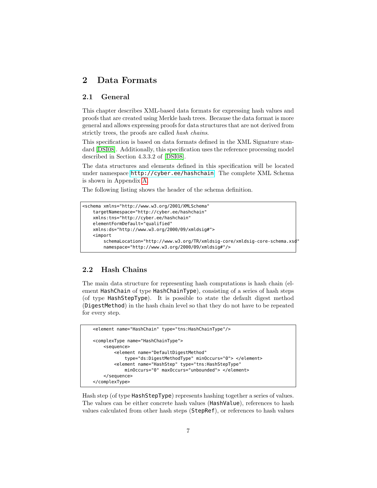## <span id="page-6-0"></span>2 Data Formats

#### <span id="page-6-1"></span>2.1 General

This chapter describes XML-based data formats for expressing hash values and proofs that are created using Merkle hash trees. Because the data format is more general and allows expressing proofs for data structures that are not derived from strictly trees, the proofs are called *hash chains*.

This specification is based on data formats defined in the XML Signature standard [\[DSI08\]](#page-21-2). Additionally, this specification uses the reference processing model described in Section 4.3.3.2 of [\[DSI08\]](#page-21-2).

The data structures and elements defined in this specification will be located under namespace <http://cyber.ee/hashchain>. The complete XML Schema is shown in Appendix [A.](#page-21-0)

The following listing shows the header of the schema definition.

```
<schema xmlns="http://www.w3.org/2001/XMLSchema"
   targetNamespace="http://cyber.ee/hashchain"
   xmlns:tns="http://cyber.ee/hashchain"
   elementFormDefault="qualified"
   xmlns:ds="http://www.w3.org/2000/09/xmldsig#">
   <import
       schemaLocation="http://www.w3.org/TR/xmldsig-core/xmldsig-core-schema.xsd"
       namespace="http://www.w3.org/2000/09/xmldsig#"/>
```
#### <span id="page-6-2"></span>2.2 Hash Chains

The main data structure for representing hash computations is hash chain (element HashChain of type HashChainType), consisting of a series of hash steps (of type HashStepType). It is possible to state the default digest method (DigestMethod) in the hash chain level so that they do not have to be repeated for every step.

```
<element name="HashChain" type="tns:HashChainType"/>
<complexType name="HashChainType">
    <sequence>
        <element name="DefaultDigestMethod"
            type="ds:DigestMethodType" minOccurs="0"> </element>
        <element name="HashStep" type="tns:HashStepType"
            minOccurs="0" maxOccurs="unbounded"> </element>
    </sequence>
</complexType>
```
Hash step (of type HashStepType) represents hashing together a series of values. The values can be either concrete hash values (HashValue), references to hash values calculated from other hash steps (StepRef), or references to hash values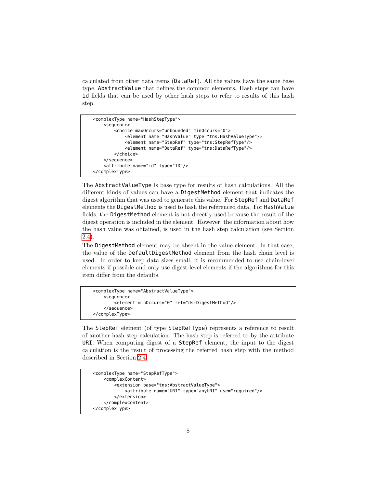calculated from other data items (DataRef). All the values have the same base type, AbstractValue that defines the common elements. Hash steps can have id fields that can be used by other hash steps to refer to results of this hash step.

```
<complexType name="HashStepType">
    <sequence>
        <choice maxOccurs="unbounded" minOccurs="0">
            <element name="HashValue" type="tns:HashValueType"/>
            <element name="StepRef" type="tns:StepRefType"/>
            <element name="DataRef" type="tns:DataRefType"/>
        </choice>
    </sequence>
    <attribute name="id" type="ID"/>
</complexType>
```
The AbstractValueType is base type for results of hash calculations. All the different kinds of values can have a DigestMethod element that indicates the digest algorithm that was used to generate this value. For StepRef and DataRef elements the DigestMethod is used to hash the referenced data. For HashValue fields, the DigestMethod element is not directly used because the result of the digest operation is included in the element. However, the information about how the hash value was obtained, is used in the hash step calculation (see Section [2.4\)](#page-9-0).

The DigestMethod element may be absent in the value element. In that case, the value of the DefaultDigestMethod element from the hash chain level is used. In order to keep data sizes small, it is recommended to use chain-level elements if possible and only use digest-level elements if the algorithms for this item differ from the defaults.

```
<complexType name="AbstractValueType">
   <sequence>
        <element minOccurs="0" ref="ds:DigestMethod"/>
    </sequence>
</complexType>
```
The StepRef element (of type StepRefType) represents a reference to result of another hash step calculation. The hash step is referred to by the attribute URI. When computing digest of a StepRef element, the input to the digest calculation is the result of processing the referred hash step with the method described in Section [2.4.](#page-9-0)

```
<complexType name="StepRefType">
   <complexContent>
        <extension base="tns:AbstractValueType">
            <attribute name="URI" type="anyURI" use="required"/>
        </extension>
   </complexContent>
</complexType>
```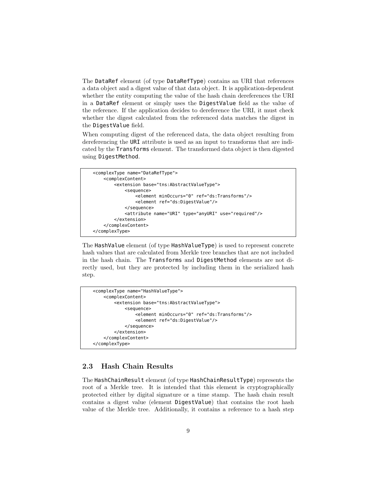The DataRef element (of type DataRefType) contains an URI that references a data object and a digest value of that data object. It is application-dependent whether the entity computing the value of the hash chain dereferences the URI in a DataRef element or simply uses the DigestValue field as the value of the reference. If the application decides to dereference the URI, it must check whether the digest calculated from the referenced data matches the digest in the DigestValue field.

When computing digest of the referenced data, the data object resulting from dereferencing the URI attribute is used as an input to transforms that are indicated by the Transforms element. The transformed data object is then digested using DigestMethod.

```
<complexType name="DataRefType">
    <complexContent>
        <extension base="tns:AbstractValueType">
            <sequence>
                <element minOccurs="0" ref="ds:Transforms"/>
                <element ref="ds:DigestValue"/>
            </sequence>
            <attribute name="URI" type="anyURI" use="required"/>
        </extension>
    </complexContent>
</complexType>
```
The HashValue element (of type HashValueType) is used to represent concrete hash values that are calculated from Merkle tree branches that are not included in the hash chain. The Transforms and DigestMethod elements are not directly used, but they are protected by including them in the serialized hash step.

```
<complexType name="HashValueType">
    <complexContent>
        <extension base="tns:AbstractValueType">
            <sequence>
                <element minOccurs="0" ref="ds:Transforms"/>
                <element ref="ds:DigestValue"/>
            </sequence>
        </extension>
    </complexContent>
</complexType>
```
#### <span id="page-8-0"></span>2.3 Hash Chain Results

The HashChainResult element (of type HashChainResultType) represents the root of a Merkle tree. It is intended that this element is cryptographically protected either by digital signature or a time stamp. The hash chain result contains a digest value (element DigestValue) that contains the root hash value of the Merkle tree. Additionally, it contains a reference to a hash step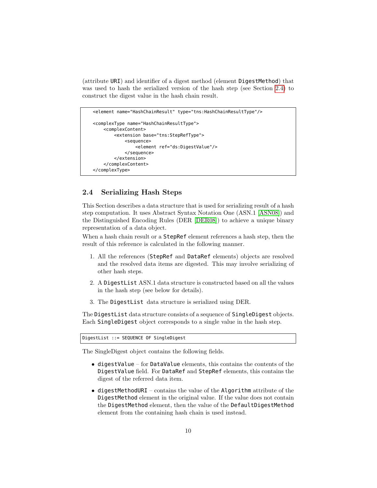(attribute URI) and identifier of a digest method (element DigestMethod) that was used to hash the serialized version of the hash step (see Section [2.4\)](#page-9-0) to construct the digest value in the hash chain result.

```
<element name="HashChainResult" type="tns:HashChainResultType"/>
<complexType name="HashChainResultType">
   <complexContent>
        <extension base="tns:StepRefType">
            <sequence>
                <element ref="ds:DigestValue"/>
            </sequence>
        </extension>
    </complexContent>
</complexType>
```
#### <span id="page-9-0"></span>2.4 Serializing Hash Steps

This Section describes a data structure that is used for serializing result of a hash step computation. It uses Abstract Syntax Notation One (ASN.1 [\[ASN08\]](#page-21-3)) and the Distinguished Encoding Rules (DER [\[DER08\]](#page-21-4)) to achieve a unique binary representation of a data object.

When a hash chain result or a StepRef element references a hash step, then the result of this reference is calculated in the following manner.

- 1. All the references (StepRef and DataRef elements) objects are resolved and the resolved data items are digested. This may involve serializing of other hash steps.
- 2. A DigestList ASN.1 data structure is constructed based on all the values in the hash step (see below for details).
- 3. The DigestList data structure is serialized using DER.

The DigestList data structure consists of a sequence of SingleDigest objects. Each SingleDigest object corresponds to a single value in the hash step.

DigestList ::= SEQUENCE OF SingleDigest

The SingleDigest object contains the following fields.

- digestValue for DataValue elements, this contains the contents of the DigestValue field. For DataRef and StepRef elements, this contains the digest of the referred data item.
- $\bullet$  digestMethodURI contains the value of the Algorithm attribute of the DigestMethod element in the original value. If the value does not contain the DigestMethod element, then the value of the DefaultDigestMethod element from the containing hash chain is used instead.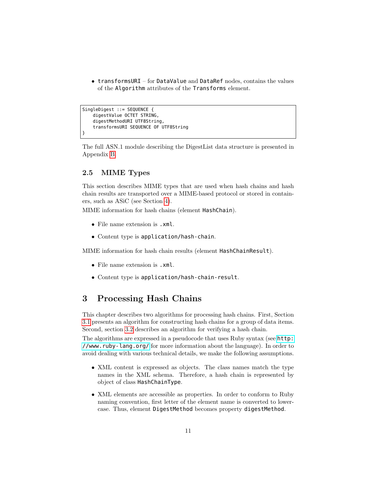• transformsURI – for DataValue and DataRef nodes, contains the values of the Algorithm attributes of the Transforms element.

```
SingleDigest ::= SEQUENCE {
    digestValue OCTET STRING,
    digestMethodURI UTF8String,
    transformsURI SEQUENCE OF UTF8String
}
```
The full ASN.1 module describing the DigestList data structure is presented in Appendix [B.](#page-23-0)

#### <span id="page-10-0"></span>2.5 MIME Types

This section describes MIME types that are used when hash chains and hash chain results are transported over a MIME-based protocol or stored in containers, such as ASiC (see Section [4\)](#page-20-0).

MIME information for hash chains (element HashChain).

- File name extension is .xml.
- Content type is application/hash-chain.

MIME information for hash chain results (element HashChainResult).

- File name extension is .xml.
- Content type is application/hash-chain-result.

### <span id="page-10-1"></span>3 Processing Hash Chains

This chapter describes two algorithms for processing hash chains. First, Section [3.1](#page-11-0) presents an algorithm for constructing hash chains for a group of data items. Second, section [3.2](#page-18-0) describes an algorithm for verifying a hash chain.

The algorithms are expressed in a pseudocode that uses Ruby syntax (see [http:](http://www.ruby-lang.org/) [//www.ruby-lang.org/](http://www.ruby-lang.org/) for more information about the language). In order to avoid dealing with various technical details, we make the following assumptions.

- XML content is expressed as objects. The class names match the type names in the XML schema. Therefore, a hash chain is represented by object of class HashChainType.
- XML elements are accessible as properties. In order to conform to Ruby naming convention, first letter of the element name is converted to lowercase. Thus, element DigestMethod becomes property digestMethod.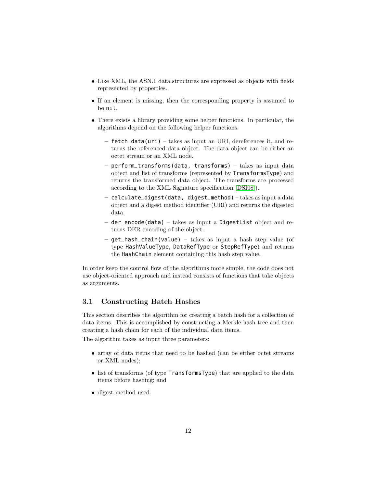- Like XML, the ASN.1 data structures are expressed as objects with fields represented by properties.
- If an element is missing, then the corresponding property is assumed to be nil.
- There exists a library providing some helper functions. In particular, the algorithms depend on the following helper functions.
	- fetch\_data(uri) takes as input an URI, dereferences it, and returns the referenced data object. The data object can be either an octet stream or an XML node.
	- perform\_transforms(data, transforms) takes as input data object and list of transforms (represented by TransformsType) and returns the transformed data object. The transforms are processed according to the XML Signature specification [\[DSI08\]](#page-21-2)).
	- $-$  calculate\_digest(data, digest\_method)  $-$  takes as input a data object and a digest method identifier (URI) and returns the digested data.
	- der\_encode(data) takes as input a DigestList object and returns DER encoding of the object.
	- $-$  qet\_hash\_chain(value) takes as input a hash step value (of type HashValueType, DataRefType or StepRefType) and returns the HashChain element containing this hash step value.

In order keep the control flow of the algorithms more simple, the code does not use object-oriented approach and instead consists of functions that take objects as arguments.

#### <span id="page-11-0"></span>3.1 Constructing Batch Hashes

This section describes the algorithm for creating a batch hash for a collection of data items. This is accomplished by constructing a Merkle hash tree and then creating a hash chain for each of the individual data items.

The algorithm takes as input three parameters:

- array of data items that need to be hashed (can be either octet streams or XML nodes);
- list of transforms (of type TransformsType) that are applied to the data items before hashing; and
- digest method used.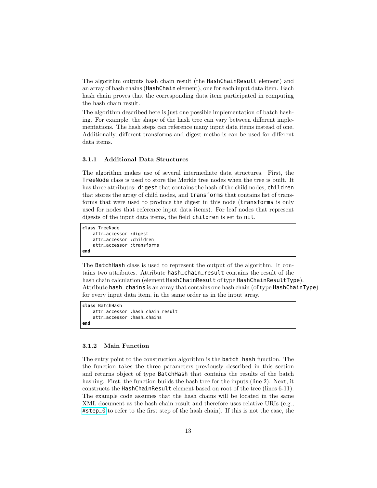The algorithm outputs hash chain result (the HashChainResult element) and an array of hash chains (HashChain element), one for each input data item. Each hash chain proves that the corresponding data item participated in computing the hash chain result.

The algorithm described here is just one possible implementation of batch hashing. For example, the shape of the hash tree can vary between different implementations. The hash steps can reference many input data items instead of one. Additionally, different transforms and digest methods can be used for different data items.

#### <span id="page-12-0"></span>3.1.1 Additional Data Structures

The algorithm makes use of several intermediate data structures. First, the TreeNode class is used to store the Merkle tree nodes when the tree is built. It has three attributes: **digest** that contains the hash of the child nodes, **children** that stores the array of child nodes, and transforms that contains list of transforms that were used to produce the digest in this node (transforms is only used for nodes that reference input data items). For leaf nodes that represent digests of the input data items, the field children is set to nil.

```
class TreeNode
   attr_accessor :digest
   attr_accessor :children
    attr_accessor :transforms
end
```
The BatchHash class is used to represent the output of the algorithm. It contains two attributes. Attribute hash\_chain\_result contains the result of the hash chain calculation (element HashChainResult of type HashChainResultType). Attribute hash\_chains is an array that contains one hash chain (of type HashChainType) for every input data item, in the same order as in the input array.

```
class BatchHash
   attr_accessor :hash_chain_result
    attr_accessor :hash_chains
end
```
#### <span id="page-12-1"></span>3.1.2 Main Function

The entry point to the construction algorithm is the batch\_hash function. The the function takes the three parameters previously described in this section and returns object of type BatchHash that contains the results of the batch hashing. First, the function builds the hash tree for the inputs (line 2). Next, it constructs the HashChainResult element based on root of the tree (lines 6-11). The example code assumes that the hash chains will be located in the same XML document as the hash chain result and therefore uses relative URIs (e.g., [#step\\_0](#step_0) to refer to the first step of the hash chain). If this is not the case, the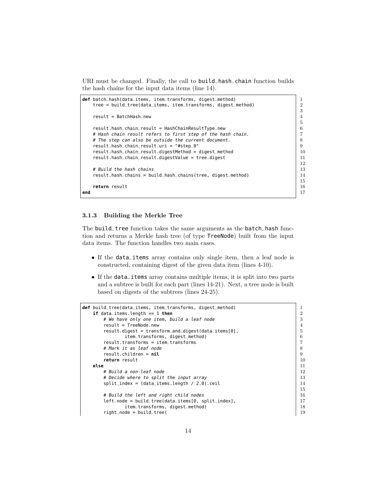URI must be changed. Finally, the call to build\_hash\_chain function builds the hash chains for the input data items (line 14).

```
def batch_hash(data_items, item_transforms, digest_method) | 1
  tree = build_tree(data_items, item_transforms, digest_method) 2
                                                   3
  result = BatchHash.new 4
                                                   \frac{5}{6}result.hash_chain_result = HashChainResultType.new 6
  # Hash chain result refers to first step of the hash chain. 7
  # The step can also be outside the current document. 8
  result.hash_chain_result.uri = "#step_0" 9
  result.hash_chain_result.digestMethod = digest_method 10
  result.hash_chain_result.digestValue = tree.digest 11
                                                   12
  # Build the hash chains 13
  result.hash_chains = build_hash_chains(tree, digest_method) 14
                                                   15
  return result 16
end 27 end 27 end 28 end 27 eg 27 <b>eg
```
#### <span id="page-13-0"></span>3.1.3 Building the Merkle Tree

The build\_tree function takes the same arguments as the batch\_hash function and returns a Merkle hash tree (of type TreeNode) built from the input data items. The function handles two main cases.

- If the data\_items array contains only single item, then a leaf node is constructed, containing digest of the given data item (lines 4-10).
- If the data\_items array contains multiple items, it is split into two parts and a subtree is built for each part (lines 14-21). Next, a tree node is built based on digests of the subtrees (lines 24-25).

```
def build_tree(data_items, item_transforms, digest_method) 1
  if data_items.length == 1 then 2
    # We have only one item, build a leaf node \begin{array}{|l} \hline \end{array} 3
    result = TreeNode.new 4
    result.digest = transform_and_digest(data_items[0], 5
        item_transforms, digest_method) 6
    result.transforms = item_transforms<br>
# Mark it as leaf node 8
    # Mark it as leaf node
    result.children = nil 9
    return result 10
  else 11
    # Build a non-leaf node 12
    # Decide where to split the input array 13split\_index = (data\_items.length / 2.0).ceil15
    # Build the left and right child nodes 16
    left\_node = build\_tree(data\_items[0, split\_index], 17
        item_transforms, digest_method) 18
    right_node = build_tree( 19
```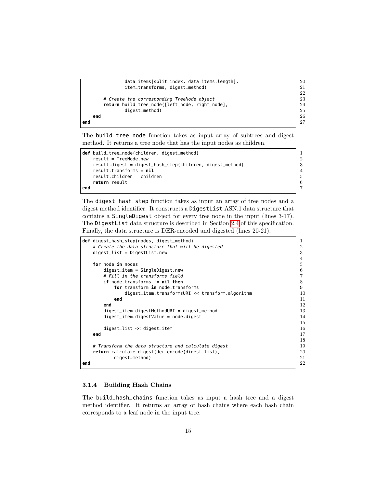```
data_items[split_index, data_items.length], 20<br>item_transforms._digest_method) 21item_transforms, digest_method)
                                         22
   # Create the corresponding TreeNode object 23
   return build_tree_node([left_node, right_node], 24
       digest_method) 25
  end 26
end 27
```
The build\_tree\_node function takes as input array of subtrees and digest method. It returns a tree node that has the input nodes as children.

|     | <b>def</b> build_tree_node(children, digest_method)       |                |
|-----|-----------------------------------------------------------|----------------|
|     | $result = TreeNode.new$                                   | $\mathcal{D}$  |
|     | result.digest = digest_hash_step(children, digest_method) | -3             |
|     | $result.transpose = nil$                                  | $\overline{4}$ |
|     | $result.children = children$                              | - 5            |
|     | return result                                             | -6             |
| end |                                                           | $\overline{7}$ |

The digest\_hash\_step function takes as input an array of tree nodes and a digest method identifier. It constructs a DigestList ASN.1 data structure that contains a SingleDigest object for every tree node in the input (lines 3-17). The DigestList data structure is described in Section [2.4](#page-9-0) of this specification. Finally, the data structure is DER-encoded and digested (lines 20-21).

```
def digest_hash_step(nodes, digest_method) 1
   # Create the data structure that will be digested \begin{array}{|l|} \hline \end{array} 2
  digest_list = DigestList.new 3
                                                              \frac{4}{5}for node in nodes
      digest_item = SingleDigest.new 6
      # Fill in the transforms field 7
      \textbf{if node}.\text{transforms} := \textbf{nil} \textbf{then} 8
         for transform in node.transforms<br>digest_item.transformsURI << transform.algorithm <br>10
            digest_item.transformsURI << transform.algorithm
         end 11
      end 22 end 22 end 22 end 22 end 22 end 22 end 22 end 22 end 22 end 22 end 22 end 22 end 22 end 22 end 22 end 22 end 22 end 22 end 22 end 22 end 22 end 22 end 22 end 22 end 
      digest<sub>1</sub>tem.digestMethodURI = digest_method
      digest_item.digestValue = node.digest 14 and 14 and 14 and 14 and 14 and 14 and 14 and 14 and 14 and 14 and 14
                                                              15
      digest_list << digest_item 16
   end 17
                                                              18
  # Transform the data structure and calculate digest<br>
return calculate_digest(der_encode(digest_list),<br>
20return calculate_digest(der_encode(digest_list), 20
         digest_method) 21
end 22
```
#### <span id="page-14-0"></span>3.1.4 Building Hash Chains

The build\_hash\_chains function takes as input a hash tree and a digest method identifier. It returns an array of hash chains where each hash chain corresponds to a leaf node in the input tree.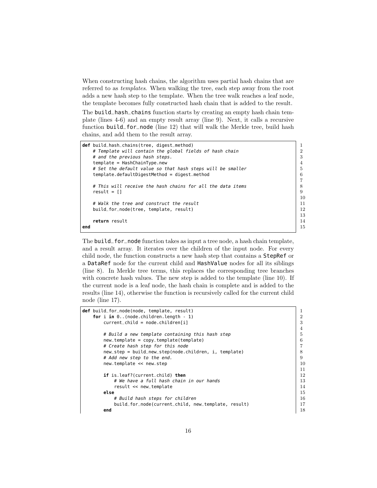When constructing hash chains, the algorithm uses partial hash chains that are referred to as templates. When walking the tree, each step away from the root adds a new hash step to the template. When the tree walk reaches a leaf node, the template becomes fully constructed hash chain that is added to the result.

The build\_hash\_chains function starts by creating an empty hash chain template (lines 4-6) and an empty result array (line 9). Next, it calls a recursive function build\_for\_node (line 12) that will walk the Merkle tree, build hash chains, and add them to the result array.

```
def build_hash_chains(tree, digest_method) 1
  # Template will contain the global fields of hash chain 2
  \# and the previous hash steps. \Big| 3
  template = HashChainType.new 4
  # Set the default value so that hash steps will be smaller \begin{array}{|l|} \hline \end{array}template.defaultDigestMethod = digest_method 6
                                              7
  # This will receive the hash chains for all the data items 8
  result = [] 9
                                             10
  # Walk the tree and construct the result 11
  build_for_node(tree, template, result) 12
                                              13
  return result \begin{array}{ccc} 14 & 14 \end{array}end 15
```
The build\_for\_node function takes as input a tree node, a hash chain template, and a result array. It iterates over the children of the input node. For every child node, the function constructs a new hash step that contains a StepRef or a DataRef node for the current child and HashValue nodes for all its siblings (line 8). In Merkle tree terms, this replaces the corresponding tree branches with concrete hash values. The new step is added to the template (line 10). If the current node is a leaf node, the hash chain is complete and is added to the results (line 14), otherwise the function is recursively called for the current child node (line 17).

```
def build_for_node(node, template, result) 1
   for i in 0..(node.children.length - 1) 2
      current_child = node.children[i] 3
                                                               4
      # Build a new template containing this hash step \begin{array}{|l|} \hline \end{array} 5
      new_template = copy_template(template) 6
      # Create hash step for this node<br>new_step = build_new_step(node.children. i. template) \begin{array}{c} | 7 \\ 8 \end{array}new_step = build_new_step(node.children, i, template) 8
      # Add new step to the end. 9
      new_template << new_step 10
                                                               11
      if is_leaf?(current_child) then 12
         # We have a full hash chain in our hands 13result << new_template 14
      else and the second second second second second second second second second second second second second second second second second second second second second second second second second second second second second second
         # Build hash steps for children 16
         build_for_node(current_child, new_template, result) | 17
      end 18
```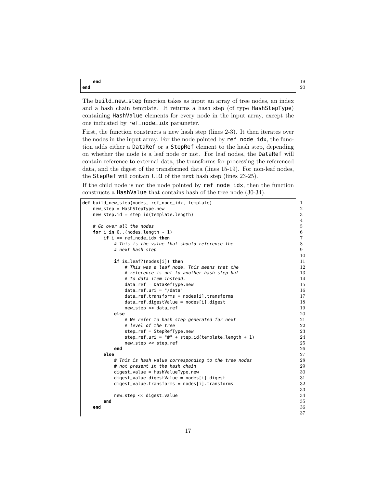**end** 20

The build\_new\_step function takes as input an array of tree nodes, an index and a hash chain template. It returns a hash step (of type HashStepType) containing HashValue elements for every node in the input array, except the one indicated by ref\_node\_idx parameter.

First, the function constructs a new hash step (lines 2-3). It then iterates over the nodes in the input array. For the node pointed by ref\_node\_idx, the function adds either a DataRef or a StepRef element to the hash step, depending on whether the node is a leaf node or not. For leaf nodes, the DataRef will contain reference to external data, the transforms for processing the referenced data, and the digest of the transformed data (lines 15-19). For non-leaf nodes, the StepRef will contain URI of the next hash step (lines 23-25).

If the child node is not the node pointed by ref\_node\_idx, then the function constructs a HashValue that contains hash of the tree node (30-34).

| <b>def</b> build_new_step(nodes, ref_node_idx, template) | $\mathbf{1}$   |
|----------------------------------------------------------|----------------|
| $new\_step = HashStepType.new$                           | $\overline{2}$ |
| $new\_step.id = step_id(template.length)$                | 3              |
|                                                          | $\overline{4}$ |
| # Go over all the nodes                                  | $\bf 5$        |
| for $i$ in $0$ (nodes.length - 1)                        | 6              |
| $if i == ref-node_idx then$                              | $\overline{7}$ |
| # This is the value that should reference the            | 8              |
| # next hash step                                         | 9              |
|                                                          | 10             |
| <b>if</b> is_leaf?(nodes[i]) <b>then</b>                 | 11             |
| # This was a leaf node. This means that the              | 12             |
| # reference is not to another hash step but              | 13             |
| # to data item instead.                                  | 14             |
| $data_{ref} = DataRefType.new$                           | 15             |
| $data_ref.uri = " / data"$                               | 16             |
| $data_ref.transforms = nodes[i].transforms$              | 17             |
| $data_ref.digestValue = nodes[i].digest$                 | 18             |
| new_step << data_ref                                     | 19             |
| else                                                     | 20             |
| # We refer to hash step generated for next               | 21             |
| # level of the tree                                      | 22             |
| $step_ref = StepRefType.new$                             | 23             |
| step_ref.uri = "#" + step_id(template.length + 1)        | 24             |
| new_step << step_ref                                     | 25             |
| end                                                      | 26             |
| else                                                     | 27             |
| # This is hash value corresponding to the tree nodes     | 28             |
| # not present in the hash chain                          | 29             |
| $digest_value = HashValueType.new$                       | 30             |
| $digest_value.digestValue = nodes[i].digest$             | 31             |
| $digest_value. transforms = nodes[i]. transforms$        | 32             |
|                                                          | 33             |
| new_step << digest_value                                 | 34             |
| end                                                      | 35             |
| end                                                      | 36             |
|                                                          | 37             |

**end** 19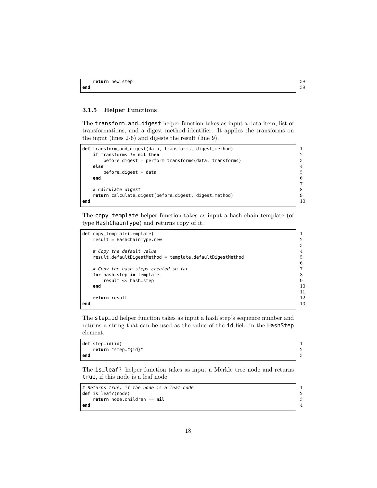#### <span id="page-17-0"></span>3.1.5 Helper Functions

The transform\_and\_digest helper function takes as input a data item, list of transformations, and a digest method identifier. It applies the transforms on the input (lines 2-6) and digests the result (line 9).

```
def transform_and_digest(data, transforms, digest_method) | 1
 if transforms != nil then 2
 before_digest = perform_transforms(data, transforms) 3<br>else
 else 4
   before\_digest = data 5end 6
 # Calculate digest
 return calculate_digest(before_digest, digest_method) 9
end 10
```
The copy\_template helper function takes as input a hash chain template (of type HashChainType) and returns copy of it.

|     | <b>def</b> copy_template(template)                        |    |
|-----|-----------------------------------------------------------|----|
|     | $result = HashChainType.new$                              | 2  |
|     |                                                           | 3  |
|     | # Copy the default value                                  |    |
|     | result.defaultDigestMethod = template.defaultDigestMethod | 5  |
|     |                                                           | 6  |
|     | # Copy the hash steps created so far                      |    |
|     | for hash_step in template                                 | 8  |
|     | result << hash_step                                       | 9  |
|     | end                                                       | 10 |
|     |                                                           | 11 |
|     | return result                                             | 12 |
| end |                                                           | 13 |
|     |                                                           |    |

The step\_id helper function takes as input a hash step's sequence number and returns a string that can be used as the value of the id field in the HashStep element.

**def** step\_id(id) 1 **return** "step\_#{id}" 2<br>3 **end** 3

The is\_leaf? helper function takes as input a Merkle tree node and returns true, if this node is a leaf node.

```
# Returns true, if the node is a leaf node 1def is_leaf?(node) 2<br>return node.children == nil 3return node.children == nil 3
end 4
```
 $7 \over 8$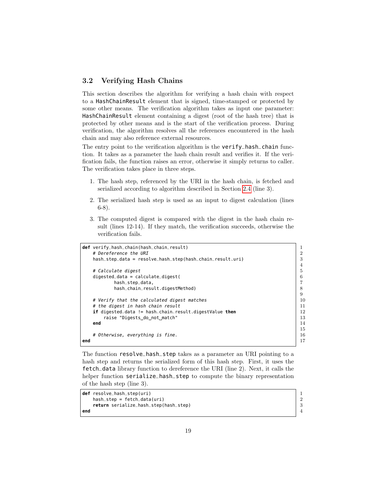#### <span id="page-18-0"></span>3.2 Verifying Hash Chains

This section describes the algorithm for verifying a hash chain with respect to a HashChainResult element that is signed, time-stamped or protected by some other means. The verification algorithm takes as input one parameter: HashChainResult element containing a digest (root of the hash tree) that is protected by other means and is the start of the verification process. During verification, the algorithm resolves all the references encountered in the hash chain and may also reference external resources.

The entry point to the verification algorithm is the **verify\_hash\_chain** function. It takes as a parameter the hash chain result and verifies it. If the verification fails, the function raises an error, otherwise it simply returns to caller. The verification takes place in three steps.

- 1. The hash step, referenced by the URI in the hash chain, is fetched and serialized according to algorithm described in Section [2.4](#page-9-0) (line 3).
- 2. The serialized hash step is used as an input to digest calculation (lines 6-8).
- 3. The computed digest is compared with the digest in the hash chain result (lines 12-14). If they match, the verification succeeds, otherwise the verification fails.

|     | <b>def</b> verify_hash_chain(hash_chain_result)               |                |
|-----|---------------------------------------------------------------|----------------|
|     | # Dereference the URI                                         | $\overline{2}$ |
|     | hash_step_data = resolve_hash_step(hash_chain_result.uri)     | 3              |
|     |                                                               | $\overline{4}$ |
|     | # Calculate digest                                            | 5              |
|     | $digested_data = calculate\_digest($                          | 6              |
|     | hash_step_data,                                               | 7              |
|     | hash_chain_result.digestMethod)                               |                |
|     |                                                               | 9              |
|     | # Verify that the calculated digest matches                   | 10             |
|     | # the digest in hash chain result                             | 11             |
|     | <b>if</b> digested_data != hash_chain_result.digestValue then | 12             |
|     | raise "Digests do not match"                                  | 13             |
|     | end                                                           | 14             |
|     |                                                               | 15             |
|     | # Otherwise, everything is fine.                              | 16             |
| end |                                                               |                |
|     |                                                               |                |

The function resolve\_hash\_step takes as a parameter an URI pointing to a hash step and returns the serialized form of this hash step. First, it uses the fetch\_data library function to dereference the URI (line 2). Next, it calls the helper function serialize\_hash\_step to compute the binary representation of the hash step (line 3).

```
def resolve_hash_step(uri) 1
     hash_step = fetch_data(uri) 2
     return serialize_hash_step(hash_step) 3
end \begin{array}{ccc} 4 & 4 \\ 4 & 4 \\ 4 & 4 \\ 4 & 4 \\ 4 & 4 \\ 4 & 4 \\ 4 & 4 \\ 4 & 4 \\ 4 & 4 \\ 4 & 4 \\ 4 & 4 \\ 4 & 4 \\ 4 & 4 \\ 4 & 4 \\ 4 & 4 \\ 4 & 4 \\ 4 & 4 \\ 4 & 4 \\ 4 & 4 \\ 4 & 4 \\ 4 & 4 \\ 4 & 4 \\ 4 & 4 \\ 4 & 4 \\ 4 & 4 \\ 4 & 4 \\ 4 & 4 \\ 4 & 4 \\ 4 & 4 \\ 4 & 4 \\ 4 & 4 \\ 4 & 4 \\ 4 & 4 \\ 4 & 4 \\ 4 &
```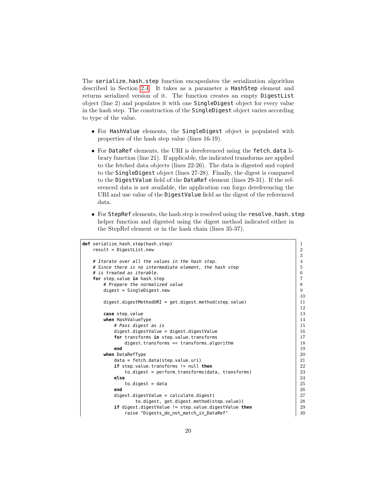The serialize\_hash\_step function encapsulates the serialization algorithm described in Section [2.4.](#page-9-0) It takes as a parameter a HashStep element and returns serialized version of it. The function creates an empty DigestList object (line 2) and populates it with one SingleDigest object for every value in the hash step. The construction of the SingleDigest object varies according to type of the value.

- For HashValue elements, the SingleDigest object is populated with properties of the hash step value (lines 16-19).
- For DataRef elements, the URI is dereferenced using the fetch\_data library function (line 21). If applicable, the indicated transforms are applied to the fetched data objects (lines 22-26). The data is digested and copied to the SingleDigest object (lines 27-28). Finally, the digest is compared to the DigestValue field of the DataRef element (lines 29-31). If the referenced data is not available, the application can forgo dereferencing the URI and use value of the DigestValue field as the digest of the referenced data.
- For StepRef elements, the hash step is resolved using the resolve\_hash\_step helper function and digested using the digest method indicated either in the StepRef element or in the hash chain (lines 35-37).

```
def serialize_hash_step(hash_step) 1
  result = DigestList.new 2
                                                      3
  # Iterate over all the values in the hash step. 4
  # Since there is no intermediate element, the hash step \begin{array}{|l|} \hline \end{array}# is treated as iterable. 6
  for step_value in hash_step<br>
# Prepare the normalized value 8
     # Prepare the normalized value
     digest = SingleDigest.new 9
                                                      10
     digest.digestMethodURI = get_digest_method(step_value) 11
                                                      12
     case step_value 13
     uhen HashValueType 14
       # Pass digest as is 15
       digest.digestValue = digest.digestValue 16
       for transforms in step_value.transforms 17
          digest.transforms << transforms.algorithm \begin{array}{|l|} \hline \end{array} 18
        end 19
     when DataRefType 20
       data = fetch_data(step_value.uri) 21
       if step_value.transforms != null then 22
          to_digest = perform_transforms(data, transforms) | 23
        else 24
          to_digest = data 25
        end 26
       digest.digestValue = calculate_digest(27\begin{array}{|l|l|} \hbox{\tt to\_digest\_get\_method (step_value))} \ \hbox{\tt to\_digestValue} & = \text{\tt step\_value.digestValue} \ \hbox{\tt do\_digestValue} \end{array} \hspace{1.5cm} \begin{array}{|l|l|} \hbox{\tt 28}} \ \hbox{\tt 29}} \ \hbox{\tt .29}} \ \hbox{\tt .216}} \end{array}if digest.digestValue != step_value.digestValue then
          raise "Digests_do_not_match_in_DataRef" |30
```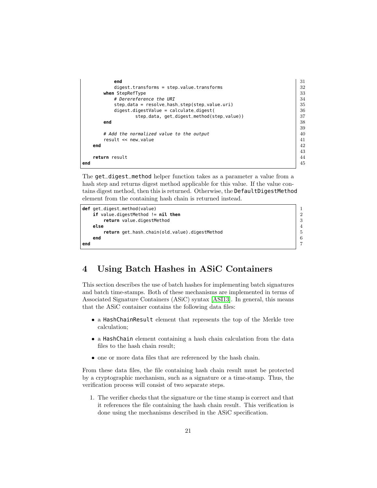| end                                           | 31 |
|-----------------------------------------------|----|
| $digest.$ transforms = step_value.transforms  | 32 |
| when StepRefType                              | 33 |
| # Derereference the URI                       | 34 |
| step_data = resolve_hash_step(step_value.uri) | 35 |
| $digest.digestValue = calculate_digest($      | 36 |
| step_data, get_digest_method(step_value))     | 37 |
| end                                           | 38 |
|                                               | 39 |
| # Add the normalized value to the output      | 40 |
| result << new_value                           | 41 |
| end                                           | 42 |
|                                               | 43 |
| return result                                 | 44 |
| end                                           | 45 |
|                                               |    |

The get\_digest\_method helper function takes as a parameter a value from a hash step and returns digest method applicable for this value. If the value contains digest method, then this is returned. Otherwise, the DefaultDigestMethod element from the containing hash chain is returned instead.

```
def get_digest_method(value) 1
 if value.digestMethod != nil then 2
  return value.digestMethod 3
 else 4
  return get_hash_chain(old_value).digestMethod \begin{bmatrix} 5 \\ 6 \end{bmatrix}end 6
end 7
```
## <span id="page-20-0"></span>4 Using Batch Hashes in ASiC Containers

This section describes the use of batch hashes for implementing batch signatures and batch time-stamps. Both of these mechanisms are implemented in terms of Associated Signature Containers (ASiC) syntax [\[ASI13\]](#page-21-5). In general, this means that the ASiC container contains the following data files:

- a HashChainResult element that represents the top of the Merkle tree calculation;
- a HashChain element containing a hash chain calculation from the data files to the hash chain result;
- one or more data files that are referenced by the hash chain.

From these data files, the file containing hash chain result must be protected by a cryptographic mechanism, such as a signature or a time-stamp. Thus, the verification process will consist of two separate steps.

1. The verifier checks that the signature or the time stamp is correct and that it references the file containing the hash chain result. This verification is done using the mechanisms described in the ASiC specification.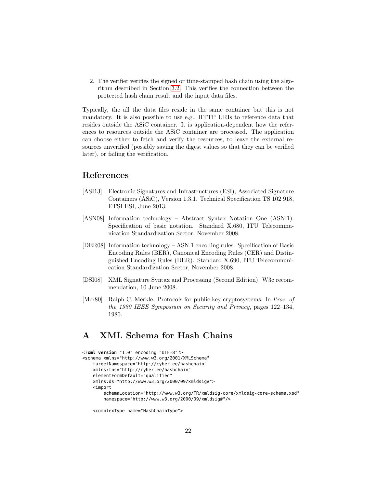2. The verifier verifies the signed or time-stamped hash chain using the algorithm described in Section [3.2.](#page-18-0) This verifies the connection between the protected hash chain result and the input data files.

Typically, the all the data files reside in the same container but this is not mandatory. It is also possible to use e.g., HTTP URIs to reference data that resides outside the ASiC container. It is application-dependent how the references to resources outside the ASiC container are processed. The application can choose either to fetch and verify the resources, to leave the external resources unverified (possibly saving the digest values so that they can be verified later), or failing the verification.

## References

- <span id="page-21-5"></span>[ASI13] Electronic Signatures and Infrastructures (ESI); Associated Signature Containers (ASiC), Version 1.3.1. Technical Specification TS 102 918, ETSI ESI, June 2013.
- <span id="page-21-3"></span>[ASN08] Information technology – Abstract Syntax Notation One (ASN.1): Specification of basic notation. Standard X.680, ITU Telecommunication Standardization Sector, November 2008.
- <span id="page-21-4"></span>[DER08] Information technology – ASN.1 encoding rules: Specification of Basic Encoding Rules (BER), Canonical Encoding Rules (CER) and Distinguished Encoding Rules (DER). Standard X.690, ITU Telecommunication Standardization Sector, November 2008.
- <span id="page-21-2"></span>[DSI08] XML Signature Syntax and Processing (Second Edition). W3c recommendation, 10 June 2008.
- <span id="page-21-1"></span>[Mer80] Ralph C. Merkle. Protocols for public key cryptosystems. In Proc. of the 1980 IEEE Symposium on Security and Privacy, pages 122–134, 1980.

## <span id="page-21-0"></span>A XML Schema for Hash Chains

```
<?xml version="1.0" encoding="UTF-8"?>
<schema xmlns="http://www.w3.org/2001/XMLSchema"
    targetNamespace="http://cyber.ee/hashchain"
    xmlns:tns="http://cyber.ee/hashchain"
    elementFormDefault="qualified"
    xmlns:ds="http://www.w3.org/2000/09/xmldsig#">
    <import
        schemaLocation="http://www.w3.org/TR/xmldsig-core/xmldsig-core-schema.xsd"
        namespace="http://www.w3.org/2000/09/xmldsig#"/>
```

```
<complexType name="HashChainType">
```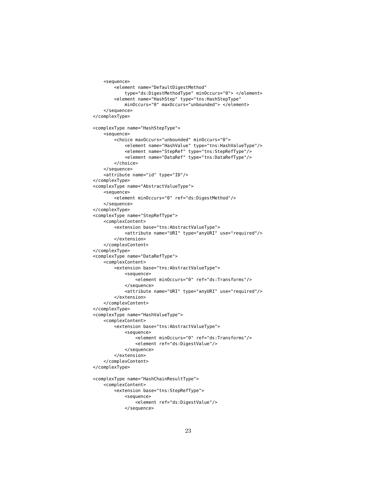```
<sequence>
        <element name="DefaultDigestMethod"
            type="ds:DigestMethodType" minOccurs="0"> </element>
        <element name="HashStep" type="tns:HashStepType"
            minOccurs="0" maxOccurs="unbounded"> </element>
    </sequence>
</complexType>
<complexType name="HashStepType">
    <sequence>
        <choice maxOccurs="unbounded" minOccurs="0">
            <element name="HashValue" type="tns:HashValueType"/>
            <element name="StepRef" type="tns:StepRefType"/>
            <element name="DataRef" type="tns:DataRefType"/>
        </choice>
    </sequence>
    <attribute name="id" type="ID"/>
</complexType>
<complexType name="AbstractValueType">
    <sequence>
        <element minOccurs="0" ref="ds:DigestMethod"/>
    </sequence>
</complexType>
<complexType name="StepRefType">
    <complexContent>
        <extension base="tns:AbstractValueType">
            <attribute name="URI" type="anyURI" use="required"/>
        </extension>
    </complexContent>
</complexType>
<complexType name="DataRefType">
    <complexContent>
        <extension base="tns:AbstractValueType">
            <sequence>
                <element minOccurs="0" ref="ds:Transforms"/>
            </sequence>
            <attribute name="URI" type="anyURI" use="required"/>
        </extension>
    </complexContent>
</complexType>
<complexType name="HashValueType">
    <complexContent>
       <extension base="tns:AbstractValueType">
            <sequence>
                <element minOccurs="0" ref="ds:Transforms"/>
                <element ref="ds:DigestValue"/>
            </sequence>
       </extension>
    </complexContent>
</complexType>
<complexType name="HashChainResultType">
    <complexContent>
       <extension base="tns:StepRefType">
            <sequence>
                <element ref="ds:DigestValue"/>
            </sequence>
```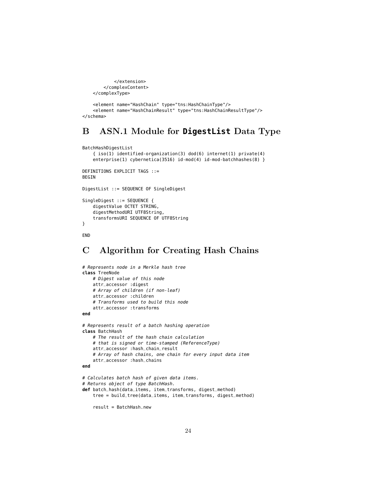```
</extension>
    </complexContent>
</complexType>
<element name="HashChain" type="tns:HashChainType"/>
<element name="HashChainResult" type="tns:HashChainResultType"/>
```
#### </schema>

## <span id="page-23-0"></span>B ASN.1 Module for **DigestList** Data Type

```
BatchHashDigestList
    { iso(1) identified-organization(3) dod(6) internet(1) private(4)
   enterprise(1) cybernetica(3516) id-mod(4) id-mod-batchhashes(8) }
DEFINITIONS EXPLICIT TAGS ::=
BEGIN
DigestList ::= SEQUENCE OF SingleDigest
SingleDigest ::= SEQUENCE {
    digestValue OCTET STRING,
    digestMethodURI UTF8String,
    transformsURI SEQUENCE OF UTF8String
}
END
```
## <span id="page-23-1"></span>C Algorithm for Creating Hash Chains

```
# Represents node in a Merkle hash tree
class TreeNode
   # Digest value of this node
   attr_accessor :digest
   # Array of children (if non-leaf)
   attr_accessor :children
    # Transforms used to build this node
    attr_accessor :transforms
end
# Represents result of a batch hashing operation
class BatchHash
   # The result of the hash chain calculation
    # that is signed or time-stamped (ReferenceType)
    attr_accessor :hash_chain_result
    # Array of hash chains, one chain for every input data item
    attr_accessor :hash_chains
end
# Calculates batch hash of given data items.
# Returns object of type BatchHash.
def batch_hash(data_items, item_transforms, digest_method)
   tree = build_tree(data_items, item_transforms, digest_method)
    result = BatchHash.new
```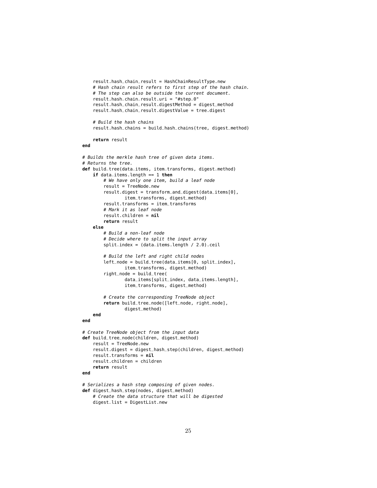```
result.hash_chain_result = HashChainResultType.new
    # Hash chain result refers to first step of the hash chain.
    # The step can also be outside the current document.
    result.hash_chain_result.uri = "#step_0"
    result.hash_chain_result.digestMethod = digest_method
    result.hash_chain_result.digestValue = tree.digest
    # Build the hash chains
    result.hash_chains = build_hash_chains(tree, digest_method)
    return result
end
# Builds the merkle hash tree of given data items.
# Returns the tree.
def build_tree(data_items, item_transforms, digest_method)
    if data_items.length == 1 then
        # We have only one item, build a leaf node
        result = TreeNode.new
        result.digest = transform_and_digest(data_items[0],
                item_transforms, digest_method)
        result.transforms = item_transforms
        # Mark it as leaf node
        result.children = nil
        return result
    else
        # Build a non-leaf node
        # Decide where to split the input array
        split_index = (data_items.length / 2.0).ceil
        # Build the left and right child nodes
        left_node = build_tree(data_items[0, split_index],
                item_transforms, digest_method)
        right_node = build_tree(
                data_items[split_index, data_items.length],
                item_transforms, digest_method)
        # Create the corresponding TreeNode object
        return build_tree_node([left_node, right_node],
                digest_method)
    end
end
# Create TreeNode object from the input data
def build_tree_node(children, digest_method)
    result = TreeNode.new
    result.digest = digest_hash_step(children, digest_method)
    result.transforms = nil
    result.children = children
    return result
end
# Serializes a hash step composing of given nodes.
def digest_hash_step(nodes, digest_method)
    # Create the data structure that will be digested
    digest_list = DigestList.new
```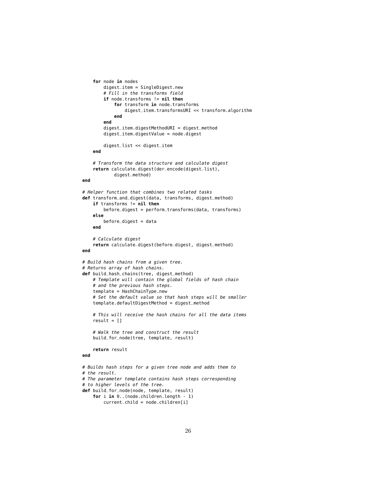```
for node in nodes
        digest_item = SingleDigest.new
        # Fill in the transforms field
        if node.transforms != nil then
            for transform in node.transforms
                digest_item.transformsURI << transform.algorithm
            end
        end
        digest_item.digestMethodURI = digest_method
        digest_item.digestValue = node.digest
        digest_list << digest_item
   end
    # Transform the data structure and calculate digest
    return calculate_digest(der_encode(digest_list),
            digest_method)
end
# Helper function that combines two related tasks
def transform_and_digest(data, transforms, digest_method)
    if transforms != nil then
        before_digest = perform_transforms(data, transforms)
    else
       before\_digest = dataend
    # Calculate digest
    return calculate_digest(before_digest, digest_method)
end
# Build hash chains from a given tree.
# Returns array of hash chains.
def build_hash_chains(tree, digest_method)
    # Template will contain the global fields of hash chain
    # and the previous hash steps.
    template = HashChainType.new
    # Set the default value so that hash steps will be smaller
    template.defaultDigestMethod = digest_method
    # This will receive the hash chains for all the data items
    result = []# Walk the tree and construct the result
    build_for_node(tree, template, result)
    return result
end
# Builds hash steps for a given tree node and adds them to
# the result.
# The parameter template contains hash steps corresponding
# to higher levels of the tree.
def build_for_node(node, template, result)
    for i in 0..(node.children.length - 1)
```

```
current_child = node.children[i]
```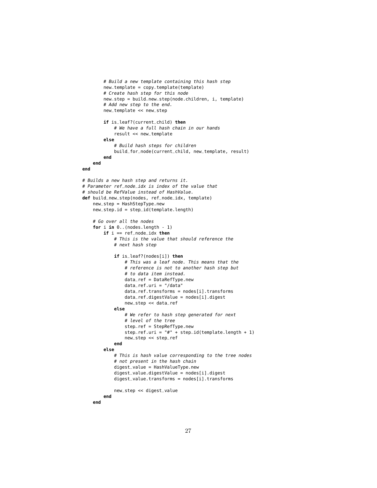```
# Build a new template containing this hash step
        new_template = copy_template(template)
        # Create hash step for this node
        new_step = build_new_step(node.children, i, template)
        # Add new step to the end.
        new_template << new_step
        if is_leaf?(current_child) then
            # We have a full hash chain in our hands
            result << new_template
        else
            # Build hash steps for children
            build_for_node(current_child, new_template, result)
        end
    end
end
# Builds a new hash step and returns it.
# Parameter ref_node_idx is index of the value that
# should be RefValue instead of HashValue.
def build_new_step(nodes, ref_node_idx, template)
    new_step = HashStepType.new
    new\_step.id = step_id(template.length)# Go over all the nodes
    for i in 0..(nodes.length - 1)
       if i == ref_node_idx then
            # This is the value that should reference the
            # next hash step
            if is_leaf?(nodes[i]) then
                # This was a leaf node. This means that the
                # reference is not to another hash step but
                # to data item instead.
                data_ref = DataRefType.new
                data_ref.uri = "/data"
                data_ref.transpose = nodes[i].transformsdata_ref.digestValue = nodes[i].digest
                new_step << data_ref
            else
                # We refer to hash step generated for next
                # level of the tree
                step_ref = StepRefType.new
                step_ref.uri = "#" + step_id(template.length + 1)
                new_step << step_ref
            end
        else
            # This is hash value corresponding to the tree nodes
            # not present in the hash chain
            digest_value = HashValueType.new
            digest_value.digestValue = nodes[i].digest
            digest_value.transforms = nodes[i].transforms
            new_step << digest_value
        end
   end
```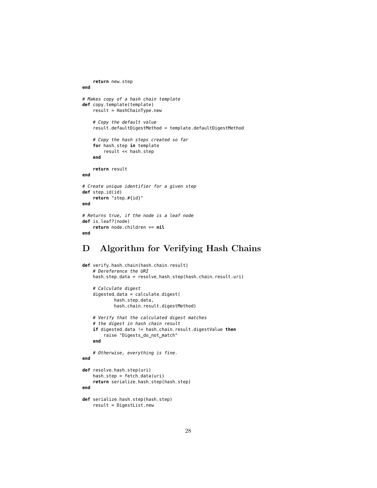```
return new_step
end
# Makes copy of a hash chain template
def copy_template(template)
    result = HashChainType.new
    # Copy the default value
    result.defaultDigestMethod = template.defaultDigestMethod
    # Copy the hash steps created so far
    for hash_step in template
        result << hash_step
    end
    return result
end
# Create unique identifier for a given step
def step_id(id)
    return "step_#{id}"
end
# Returns true, if the node is a leaf node
def is_leaf?(node)
    return node.children == nil
end
```
## <span id="page-27-0"></span>D Algorithm for Verifying Hash Chains

```
def verify_hash_chain(hash_chain_result)
    # Dereference the URI
   hash_step_data = resolve_hash_step(hash_chain_result.uri)
    # Calculate digest
    digested_data = calculate_digest(
           hash_step_data,
            hash_chain_result.digestMethod)
   # Verify that the calculated digest matches
    # the digest in hash chain result
    if digested_data != hash_chain_result.digestValue then
       raise "Digests_do_not_match"
    end
    # Otherwise, everything is fine.
end
def resolve_hash_step(uri)
   hash_step = fetch_data(uri)
    return serialize_hash_step(hash_step)
end
def serialize_hash_step(hash_step)
    result = DigestList.new
```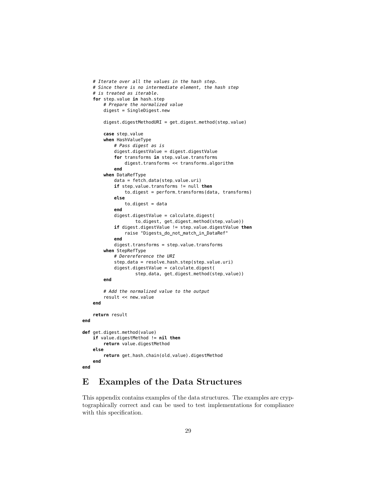```
# Iterate over all the values in the hash step.
    # Since there is no intermediate element, the hash step
    # is treated as iterable.
    for step_value in hash_step
        # Prepare the normalized value
        digest = SingleDigest.new
        digest.digestMethodURI = get_digest_method(step_value)
        case step_value
        when HashValueType
            # Pass digest as is
            digest.digestValue = digest.digestValue
            for transforms in step_value.transforms
                digest.transforms << transforms.algorithm
            end
        when DataRefType
            data = fetch_data(step_value.uri)
            if step_value.transforms != null then
                to_digest = perform_transforms(data, transforms)
            else
                to\_digest = dataend
            digest.digestValue = calculate_digest(
                    to_digest, get_digest_method(step_value))
            if digest.digestValue != step_value.digestValue then
                raise "Digests_do_not_match_in_DataRef"
            end
            digest.transforms = step_value.transforms
        when StepRefType
            # Derereference the URI
            step_data = resolve_hash_step(step_value.uri)
            digest.digestValue = calculate_digest(
                    step_data, get_digest_method(step_value))
        end
        # Add the normalized value to the output
        result << new_value
    end
    return result
end
def get_digest_method(value)
    if value.digestMethod != nil then
        return value.digestMethod
    else
        return get_hash_chain(old_value).digestMethod
   end
end
```
## <span id="page-28-0"></span>E Examples of the Data Structures

This appendix contains examples of the data structures. The examples are cryptographically correct and can be used to test implementations for compliance with this specification.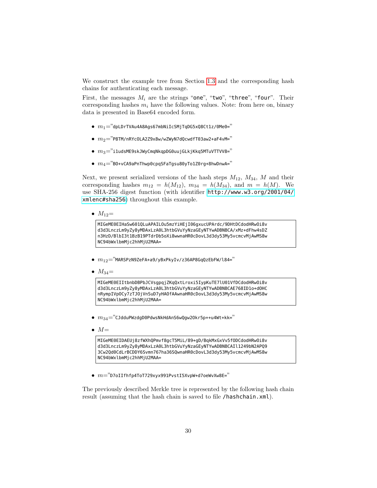We construct the example tree from Section [1.3](#page-5-0) and the corresponding hash chains for authenticating each message.

First, the messages  $M_i$  are the strings "one", "two", "three", "four". Their corresponding hashes  $m_i$  have the following values. Note: from here on, binary data is presented in Base64 encoded form.

- $m_1$ ="dpLDrTVAu4A8Ags67mbNiIcSMjTqDG5xQ8Ct1z/0Me0="
- $\bullet~~m_2$ ="P8TM/nRYcOLA2Z9x8w/wZWyN7dQcwdfT03aw2+aF4vM="
- $\bullet$   $m_3$ ="i1udsME9skJWyCmqNkqpDG0uujGLkjKkq5MTuVTTVV8="
- $\bullet$   $m_4$ ="BO+vCA9aPnThwp0cpqSFaTgsu80yTo1Z0rg+8hwDnwA="

Next, we present serialized versions of the hash steps  $M_{12}$ ,  $M_{34}$ , M and their corresponding hashes  $m_{12} = h(M_{12}), m_{34} = h(M_{34}),$  and  $m = h(M)$ . We use SHA-256 digest function (with identifier [http://www.w3.org/2001/04/](http://www.w3.org/2001/04/xmlenc#sha256) [xmlenc#sha256](http://www.w3.org/2001/04/xmlenc#sha256)) throughout this example.

•  $M_{12}$ =

MIGeME0EIHaSw601QLuAPAILOu5mzYiHEjI06gxucUPArdc/9DHtDCdodHRwOi8v d3d3LnczLm9yZy8yMDAxLzA0L3htbGVuYyNzaGEyNTYwADBNBCA/xMz+dFhw4sDZ n3HzD/BlbI3t1BzB19PTdrDb5oXi8wwnaHR0cDovL3d3dy53My5vcmcvMjAwMS8w NC94bWxlbmMjc2hhMjU2MAA=

- $m_{12}$ ="MARSPzN9ZeFA+a9/yBxPkyIv/z36AP8GqQzEbFW/l84="
- $M_{34}$  =

```
MIGeME0EIItbnbDBPbJCVsgpqjZKqQxtLroxi5IypKuTE7lU01VfDCdodHRwOi8v
d3d3LnczLm9yZy8yMDAxLzA0L3htbGVuYyNzaGEyNTYwADBNBCAE768ID1o+dOHC
nRympIVpOCy7zTJOjVnSuD7yHAOfAAwnaHR0cDovL3d3dy53My5vcmcvMjAwMS8w
NC94bWxlbmMjc2hhMjU2MAA=
```
- $\bullet$   $m_{34}$ ="CJdduPWzdgD0PdwsNkHdAnS6wQgw2Okr5p++u4Wt+kk="
- $\bullet M=$

MIGeME0EIDAEUj8zfWXhQPmvf8gcT5MiL/89+gD/BqkMxGxVv5fODCdodHRwOi8v d3d3LnczLm9yZy8yMDAxLzA0L3htbGVuYyNzaGEyNTYwADBNBCAIl1249bN2APQ9 3Cw2Qd0CdLrBCDDY6Svmn767ha36SQwnaHR0cDovL3d3dy53My5vcmcvMjAwMS8w NC94bWxlbmMjc2hhMjU2MAA=

•  $m$ ="D7oIIfhfp4ToT729xyx991PvstI5XvpW+d7oeWvXw8E="

The previously described Merkle tree is represented by the following hash chain result (assuming that the hash chain is saved to file /hashchain.xml).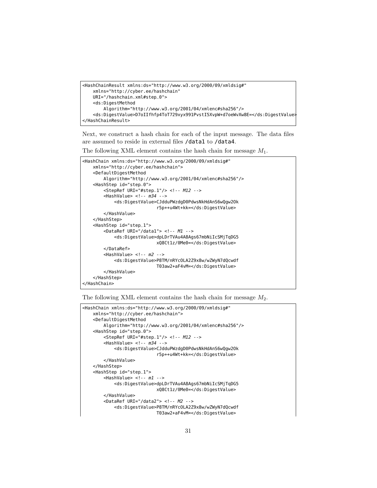```
<HashChainResult xmlns:ds="http://www.w3.org/2000/09/xmldsig#"
   xmlns="http://cyber.ee/hashchain"
   URI="/hashchain.xml#step_0">
   <ds:DigestMethod
       Algorithm="http://www.w3.org/2001/04/xmlenc#sha256"/>
   <ds:DigestValue>D7oIIfhfp4ToT729xyx991PvstI5XvpW+d7oeWvXw8E=</ds:DigestValue>
</HashChainResult>
```
Next, we construct a hash chain for each of the input message. The data files are assumed to reside in external files /data1 to /data4.

The following XML element contains the hash chain for message  $M_1$ .

```
<HashChain xmlns:ds="http://www.w3.org/2000/09/xmldsig#"
   xmlns="http://cyber.ee/hashchain">
   <DefaultDigestMethod
       Algorithm="http://www.w3.org/2001/04/xmlenc#sha256"/>
   <HashStep id="step_0">
       <StepRef URI="#step_1"/> <!-- M12 -->
       <HashValue> <!-- m34 -->
           <ds:DigestValue>CJdduPWzdgD0PdwsNkHdAnS6wQgw2Ok
                            r5p++u4Wt+kk=</ds:DigestValue>
       </HashValue>
   </HashStep>
   <HashStep id="step_1">
       <DataRef URI="/data1"> <!-- M1 -->
            <ds:DigestValue>dpLDrTVAu4A8Ags67mbNiIcSMjTqDG5
                            xQ8Ct1z/0Me0=</ds:DigestValue>
       </DataRef>
       <HashValue> <!-- m2 -->
           <ds:DigestValue>P8TM/nRYcOLA2Z9x8w/wZWyN7dQcwdf
                            T03aw2+aF4vM=</ds:DigestValue>
       </HashValue>
   </HashStep>
</HashChain>
```
The following XML element contains the hash chain for message  $M_2$ .

```
<HashChain xmlns:ds="http://www.w3.org/2000/09/xmldsig#"
   xmlns="http://cyber.ee/hashchain">
   <DefaultDigestMethod
       Algorithm="http://www.w3.org/2001/04/xmlenc#sha256"/>
   <HashStep id="step_0">
       <StepRef URI="#step_1"/> <!-- M12 -->
       <HashValue> <!-- m34 -->
            <ds:DigestValue>CJdduPWzdgD0PdwsNkHdAnS6wQgw2Ok
                            r5p++u4Wt+kk=</ds:DigestValue>
       </HashValue>
   </HashStep>
   <HashStep id="step_1">
       <HashValue> <!-- m1 -->
           <ds:DigestValue>dpLDrTVAu4A8Ags67mbNiIcSMjTqDG5
                            xQ8Ct1z/0Me0=</ds:DigestValue>
       </HashValue>
       <DataRef URI="/data2"> <!-- M2 -->
            <ds:DigestValue>P8TM/nRYcOLA2Z9x8w/wZWyN7dQcwdf
                            T03aw2+aF4vM=</ds:DigestValue>
```